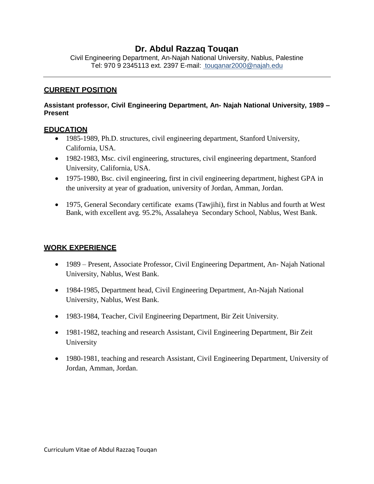# **Dr. Abdul Razzaq Touqan**

Civil Engineering Department, An-Najah National University, Nablus, Palestine Tel: 970 9 2345113 ext. 2397 E-mail: [touqanar2000@najah.edu](mailto:ayham.jaaron@najah.edu)

#### **CURRENT POSITION**

#### **Assistant professor, Civil Engineering Department, An- Najah National University, 1989 – Present**

### **EDUCATION**

- 1985-1989, Ph.D. structures, civil engineering department, Stanford University, California, USA.
- 1982-1983, Msc. civil engineering, structures, civil engineering department, Stanford University, California, USA.
- 1975-1980, Bsc. civil engineering, first in civil engineering department, highest GPA in the university at year of graduation, university of Jordan, Amman, Jordan.
- 1975, General Secondary certificate exams (Tawjihi), first in Nablus and fourth at West Bank, with excellent avg. 95.2%, Assalaheya Secondary School, Nablus, West Bank.

#### **WORK EXPERIENCE**

- 1989 Present, Associate Professor, Civil Engineering Department, An- Najah National University, Nablus, West Bank.
- 1984-1985, Department head, Civil Engineering Department, An-Najah National University, Nablus, West Bank.
- 1983-1984, Teacher, Civil Engineering Department, Bir Zeit University.
- 1981-1982, teaching and research Assistant, Civil Engineering Department, Bir Zeit University
- 1980-1981, teaching and research Assistant, Civil Engineering Department, University of Jordan, Amman, Jordan.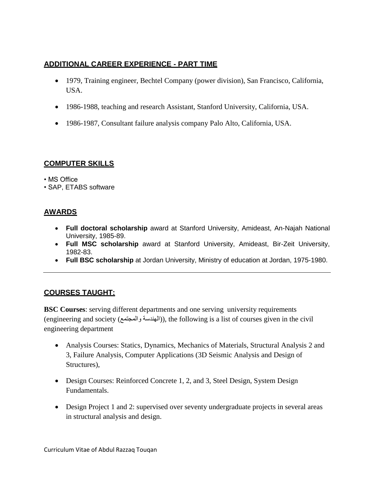## **ADDITIONAL CAREER EXPERIENCE - PART TIME**

- 1979, Training engineer, Bechtel Company (power division), San Francisco, California, USA.
- 1986-1988, teaching and research Assistant, Stanford University, California, USA.
- 1986-1987, Consultant failure analysis company Palo Alto, California, USA.

## **COMPUTER SKILLS**

• MS Office

• SAP, ETABS software

# **AWARDS**

- **Full doctoral scholarship** award at Stanford University, Amideast, An-Najah National University, 1985-89.
- **Full MSC scholarship** award at Stanford University, Amideast, Bir-Zeit University, 1982-83.
- **Full BSC scholarship** at Jordan University, Ministry of education at Jordan, 1975-1980.

## **COURSES TAUGHT:**

**BSC Courses**: serving different departments and one serving university requirements (engineering and society (المجتمع)), the following is a list of courses given in the civil engineering department

- Analysis Courses: Statics, Dynamics, Mechanics of Materials, Structural Analysis 2 and 3, Failure Analysis, Computer Applications (3D Seismic Analysis and Design of Structures),
- Design Courses: Reinforced Concrete 1, 2, and 3, Steel Design, System Design Fundamentals.
- Design Project 1 and 2: supervised over seventy undergraduate projects in several areas in structural analysis and design.